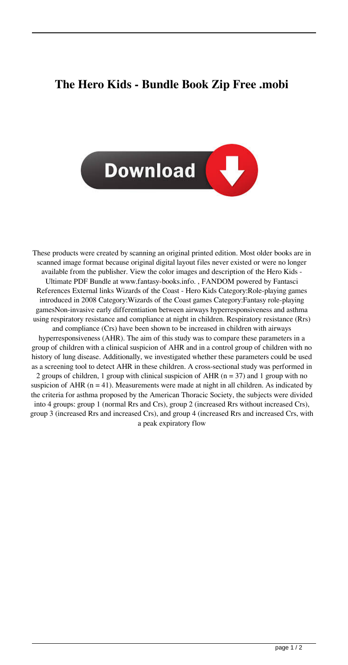## **The Hero Kids - Bundle Book Zip Free .mobi**



These products were created by scanning an original printed edition. Most older books are in scanned image format because original digital layout files never existed or were no longer available from the publisher. View the color images and description of the Hero Kids - Ultimate PDF Bundle at www.fantasy-books.info. , FANDOM powered by Fantasci References External links Wizards of the Coast - Hero Kids Category:Role-playing games introduced in 2008 Category:Wizards of the Coast games Category:Fantasy role-playing gamesNon-invasive early differentiation between airways hyperresponsiveness and asthma using respiratory resistance and compliance at night in children. Respiratory resistance (Rrs) and compliance (Crs) have been shown to be increased in children with airways hyperresponsiveness (AHR). The aim of this study was to compare these parameters in a

group of children with a clinical suspicion of AHR and in a control group of children with no history of lung disease. Additionally, we investigated whether these parameters could be used as a screening tool to detect AHR in these children. A cross-sectional study was performed in 2 groups of children, 1 group with clinical suspicion of AHR ( $n = 37$ ) and 1 group with no suspicion of AHR  $(n = 41)$ . Measurements were made at night in all children. As indicated by the criteria for asthma proposed by the American Thoracic Society, the subjects were divided into 4 groups: group 1 (normal Rrs and Crs), group 2 (increased Rrs without increased Crs), group 3 (increased Rrs and increased Crs), and group 4 (increased Rrs and increased Crs, with a peak expiratory flow